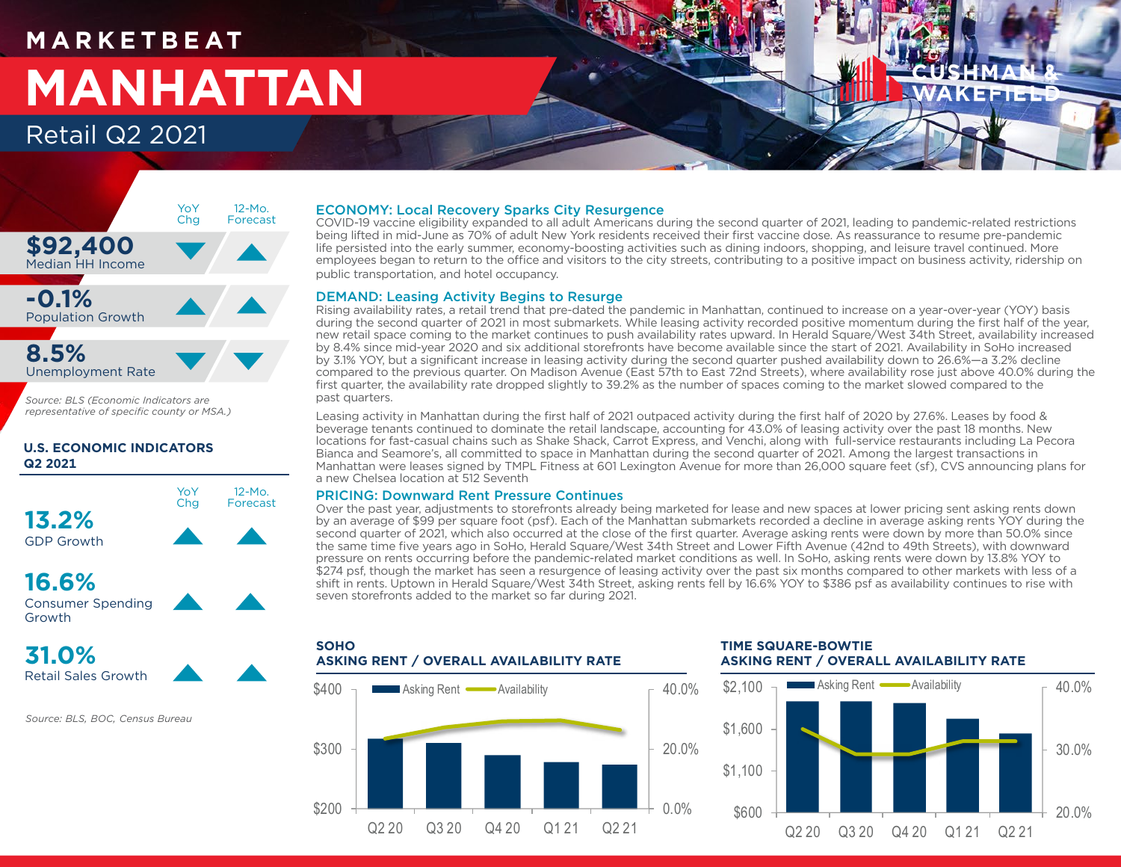## **M A R K E T B E AT MANHATTAN** Retail Q2 2021

# KEFTEE



*Source: BLS (Economic Indicators are representative of specific county or MSA.)*

### **U.S. ECONOMIC INDICATORS Q2 2021**



### **16.6%** Consumer Spending Growth



*Source: BLS, BOC, Census Bureau*

### ECONOMY: Local Recovery Sparks City Resurgence

COVID-19 vaccine eligibility expanded to all adult Americans during the second quarter of 2021, leading to pandemic-related restrictions being lifted in mid-June as 70% of adult New York residents received their first vaccine dose. As reassurance to resume pre-pandemic life persisted into the early summer, economy-boosting activities such as dining indoors, shopping, and leisure travel continued. More employees began to return to the office and visitors to the city streets, contributing to a positive impact on business activity, ridership on public transportation, and hotel occupancy.

### DEMAND: Leasing Activity Begins to Resurge

Rising availability rates, a retail trend that pre-dated the pandemic in Manhattan, continued to increase on a year-over-year (YOY) basis during the second quarter of 2021 in most submarkets. While leasing activity recorded positive momentum during the first half of the year, new retail space coming to the market continues to push availability rates upward. In Herald Square/West 34th Street, availability increased by 8.4% since mid-year 2020 and six additional storefronts have become available since the start of 2021. Availability in SoHo increased by 3.1% YOY, but a significant increase in leasing activity during the second quarter pushed availability down to 26.6%—a 3.2% decline compared to the previous quarter. On Madison Avenue (East 57th to East 72nd Streets), where availability rose just above 40.0% during the first quarter, the availability rate dropped slightly to 39.2% as the number of spaces coming to the market slowed compared to the past quarters.

Leasing activity in Manhattan during the first half of 2021 outpaced activity during the first half of 2020 by 27.6%. Leases by food & beverage tenants continued to dominate the retail landscape, accounting for 43.0% of leasing activity over the past 18 months. New locations for fast-casual chains such as Shake Shack, Carrot Express, and Venchi, along with full-service restaurants including La Pecora Bianca and Seamore's, all committed to space in Manhattan during the second quarter of 2021. Among the largest transactions in Manhattan were leases signed by TMPL Fitness at 601 Lexington Avenue for more than 26,000 square feet (sf), CVS announcing plans for a new Chelsea location at 512 Seventh

### PRICING: Downward Rent Pressure Continues

Over the past year, adjustments to storefronts already being marketed for lease and new spaces at lower pricing sent asking rents down by an average of \$99 per square foot (psf). Each of the Manhattan submarkets recorded a decline in average asking rents YOY during the second quarter of 2021, which also occurred at the close of the first quarter. Average asking rents were down by more than 50.0% since the same time five years ago in SoHo, Herald Square/West 34th Street and Lower Fifth Avenue (42nd to 49th Streets), with downward pressure on rents occurring before the pandemic-related market conditions as well. In SoHo, asking rents were down by 13.8% YOY to \$274 psf, though the market has seen a resurgence of leasing activity over the past six months compared to other markets with less of a shift in rents. Uptown in Herald Square/West 34th Street, asking rents fell by 16.6% YOY to \$386 psf as availability continues to rise with seven storefronts added to the market so far during 2021.



### **TIME SQUARE-BOWTIE ASKING RENT / OVERALL AVAILABILITY RATE**